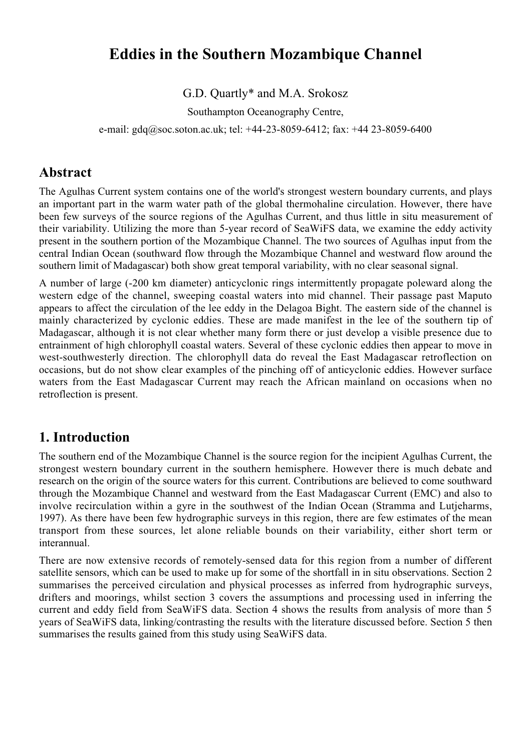# **Eddies in the Southern Mozambique Channel**

### G.D. Quartly\* and M.A. Srokosz

Southampton Oceanography Centre,

e-mail: gdq@soc.soton.ac.uk; tel: +44-23-8059-6412; fax: +44 23-8059-6400

# **Abstract**

The Agulhas Current system contains one of the world's strongest western boundary currents, and plays an important part in the warm water path of the global thermohaline circulation. However, there have been few surveys of the source regions of the Agulhas Current, and thus little in situ measurement of their variability. Utilizing the more than 5-year record of SeaWiFS data, we examine the eddy activity present in the southern portion of the Mozambique Channel. The two sources of Agulhas input from the central Indian Ocean (southward flow through the Mozambique Channel and westward flow around the southern limit of Madagascar) both show great temporal variability, with no clear seasonal signal.

A number of large (-200 km diameter) anticyclonic rings intermittently propagate poleward along the western edge of the channel, sweeping coastal waters into mid channel. Their passage past Maputo appears to affect the circulation of the lee eddy in the Delagoa Bight. The eastern side of the channel is mainly characterized by cyclonic eddies. These are made manifest in the lee of the southern tip of Madagascar, although it is not clear whether many form there or just develop a visible presence due to entrainment of high chlorophyll coastal waters. Several of these cyclonic eddies then appear to move in west-southwesterly direction. The chlorophyll data do reveal the East Madagascar retroflection on occasions, but do not show clear examples of the pinching off of anticyclonic eddies. However surface waters from the East Madagascar Current may reach the African mainland on occasions when no retroflection is present.

# **1. Introduction**

The southern end of the Mozambique Channel is the source region for the incipient Agulhas Current, the strongest western boundary current in the southern hemisphere. However there is much debate and research on the origin of the source waters for this current. Contributions are believed to come southward through the Mozambique Channel and westward from the East Madagascar Current (EMC) and also to involve recirculation within a gyre in the southwest of the Indian Ocean (Stramma and Lutjeharms, 1997). As there have been few hydrographic surveys in this region, there are few estimates of the mean transport from these sources, let alone reliable bounds on their variability, either short term or interannual.

There are now extensive records of remotely-sensed data for this region from a number of different satellite sensors, which can be used to make up for some of the shortfall in in situ observations. Section 2 summarises the perceived circulation and physical processes as inferred from hydrographic surveys, drifters and moorings, whilst section 3 covers the assumptions and processing used in inferring the current and eddy field from SeaWiFS data. Section 4 shows the results from analysis of more than 5 years of SeaWiFS data, linking/contrasting the results with the literature discussed before. Section 5 then summarises the results gained from this study using SeaWiFS data.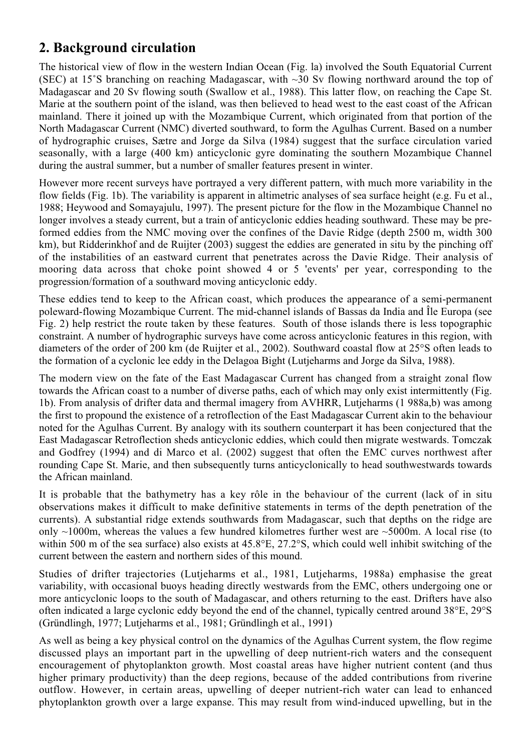# **2. Background circulation**

The historical view of flow in the western Indian Ocean (Fig. la) involved the South Equatorial Current (SEC) at 15°S branching on reaching Madagascar, with  $\sim$ 30 Sv flowing northward around the top of Madagascar and 20 Sv flowing south (Swallow et al., 1988). This latter flow, on reaching the Cape St. Marie at the southern point of the island, was then believed to head west to the east coast of the African mainland. There it joined up with the Mozambique Current, which originated from that portion of the North Madagascar Current (NMC) diverted southward, to form the Agulhas Current. Based on a number of hydrographic cruises, Sætre and Jorge da Silva (1984) suggest that the surface circulation varied seasonally, with a large (400 km) anticyclonic gyre dominating the southern Mozambique Channel during the austral summer, but a number of smaller features present in winter.

However more recent surveys have portrayed a very different pattern, with much more variability in the flow fields (Fig. 1b). The variability is apparent in altimetric analyses of sea surface height (e.g. Fu et al., 1988; Heywood and Somayajulu, 1997). The present picture for the flow in the Mozambique Channel no longer involves a steady current, but a train of anticyclonic eddies heading southward. These may be preformed eddies from the NMC moving over the confines of the Davie Ridge (depth 2500 m, width 300 km), but Ridderinkhof and de Ruijter (2003) suggest the eddies are generated in situ by the pinching off of the instabilities of an eastward current that penetrates across the Davie Ridge. Their analysis of mooring data across that choke point showed 4 or 5 'events' per year, corresponding to the progression/formation of a southward moving anticyclonic eddy.

These eddies tend to keep to the African coast, which produces the appearance of a semi-permanent poleward-flowing Mozambique Current. The mid-channel islands of Bassas da India and Île Europa (see Fig. 2) help restrict the route taken by these features. South of those islands there is less topographic constraint. A number of hydrographic surveys have come across anticyclonic features in this region, with diameters of the order of 200 km (de Ruijter et al., 2002). Southward coastal flow at 25°S often leads to the formation of a cyclonic lee eddy in the Delagoa Bight (Lutjeharms and Jorge da Silva, 1988).

The modern view on the fate of the East Madagascar Current has changed from a straight zonal flow towards the African coast to a number of diverse paths, each of which may only exist intermittently (Fig. 1b). From analysis of drifter data and thermal imagery from AVHRR, Lutjeharms (1 988a,b) was among the first to propound the existence of a retroflection of the East Madagascar Current akin to the behaviour noted for the Agulhas Current. By analogy with its southern counterpart it has been conjectured that the East Madagascar Retroflection sheds anticyclonic eddies, which could then migrate westwards. Tomczak and Godfrey (1994) and di Marco et al. (2002) suggest that often the EMC curves northwest after rounding Cape St. Marie, and then subsequently turns anticyclonically to head southwestwards towards the African mainland.

It is probable that the bathymetry has a key rôle in the behaviour of the current (lack of in situ observations makes it difficult to make definitive statements in terms of the depth penetration of the currents). A substantial ridge extends southwards from Madagascar, such that depths on the ridge are only ~1000m, whereas the values a few hundred kilometres further west are ~5000m. A local rise (to within 500 m of the sea surface) also exists at 45.8°E, 27.2°S, which could well inhibit switching of the current between the eastern and northern sides of this mound.

Studies of drifter trajectories (Lutjeharms et al., 1981, Lutjeharms, 1988a) emphasise the great variability, with occasional buoys heading directly westwards from the EMC, others undergoing one or more anticyclonic loops to the south of Madagascar, and others returning to the east. Drifters have also often indicated a large cyclonic eddy beyond the end of the channel, typically centred around 38°E, 29°S (Gründlingh, 1977; Lutjeharms et al., 1981; Gründlingh et al., 1991)

As well as being a key physical control on the dynamics of the Agulhas Current system, the flow regime discussed plays an important part in the upwelling of deep nutrient-rich waters and the consequent encouragement of phytoplankton growth. Most coastal areas have higher nutrient content (and thus higher primary productivity) than the deep regions, because of the added contributions from riverine outflow. However, in certain areas, upwelling of deeper nutrient-rich water can lead to enhanced phytoplankton growth over a large expanse. This may result from wind-induced upwelling, but in the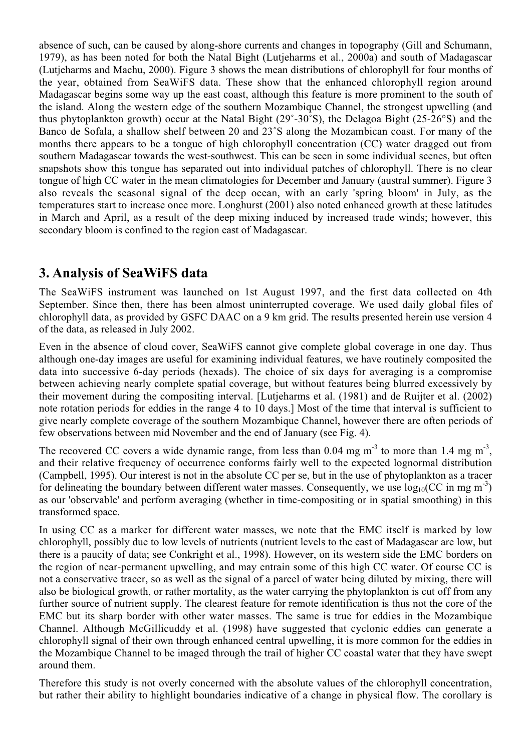absence of such, can be caused by along-shore currents and changes in topography (Gill and Schumann, 1979), as has been noted for both the Natal Bight (Lutjeharms et al., 2000a) and south of Madagascar (Lutjeharms and Machu, 2000). Figure 3 shows the mean distributions of chlorophyll for four months of the year, obtained from SeaWiFS data. These show that the enhanced chlorophyll region around Madagascar begins some way up the east coast, although this feature is more prominent to the south of the island. Along the western edge of the southern Mozambique Channel, the strongest upwelling (and thus phytoplankton growth) occur at the Natal Bight (29˚-30˚S), the Delagoa Bight (25-26°S) and the Banco de Sofala, a shallow shelf between 20 and 23˚S along the Mozambican coast. For many of the months there appears to be a tongue of high chlorophyll concentration (CC) water dragged out from southern Madagascar towards the west-southwest. This can be seen in some individual scenes, but often snapshots show this tongue has separated out into individual patches of chlorophyll. There is no clear tongue of high CC water in the mean climatologies for December and January (austral summer). Figure 3 also reveals the seasonal signal of the deep ocean, with an early 'spring bloom' in July, as the temperatures start to increase once more. Longhurst (2001) also noted enhanced growth at these latitudes in March and April, as a result of the deep mixing induced by increased trade winds; however, this secondary bloom is confined to the region east of Madagascar.

## **3. Analysis of SeaWiFS data**

The SeaWiFS instrument was launched on 1st August 1997, and the first data collected on 4th September. Since then, there has been almost uninterrupted coverage. We used daily global files of chlorophyll data, as provided by GSFC DAAC on a 9 km grid. The results presented herein use version 4 of the data, as released in July 2002.

Even in the absence of cloud cover, SeaWiFS cannot give complete global coverage in one day. Thus although one-day images are useful for examining individual features, we have routinely composited the data into successive 6-day periods (hexads). The choice of six days for averaging is a compromise between achieving nearly complete spatial coverage, but without features being blurred excessively by their movement during the compositing interval. [Lutjeharms et al. (1981) and de Ruijter et al. (2002) note rotation periods for eddies in the range 4 to 10 days.] Most of the time that interval is sufficient to give nearly complete coverage of the southern Mozambique Channel, however there are often periods of few observations between mid November and the end of January (see Fig. 4).

The recovered CC covers a wide dynamic range, from less than 0.04 mg  $m<sup>3</sup>$  to more than 1.4 mg  $m<sup>3</sup>$ , and their relative frequency of occurrence conforms fairly well to the expected lognormal distribution (Campbell, 1995). Our interest is not in the absolute CC per se, but in the use of phytoplankton as a tracer for delineating the boundary between different water masses. Consequently, we use  $log_{10}(CC \text{ in mg m}^{-3})$ as our 'observable' and perform averaging (whether in time-compositing or in spatial smoothing) in this transformed space.

In using CC as a marker for different water masses, we note that the EMC itself is marked by low chlorophyll, possibly due to low levels of nutrients (nutrient levels to the east of Madagascar are low, but there is a paucity of data; see Conkright et al., 1998). However, on its western side the EMC borders on the region of near-permanent upwelling, and may entrain some of this high CC water. Of course CC is not a conservative tracer, so as well as the signal of a parcel of water being diluted by mixing, there will also be biological growth, or rather mortality, as the water carrying the phytoplankton is cut off from any further source of nutrient supply. The clearest feature for remote identification is thus not the core of the EMC but its sharp border with other water masses. The same is true for eddies in the Mozambique Channel. Although McGillicuddy et al. (1998) have suggested that cyclonic eddies can generate a chlorophyll signal of their own through enhanced central upwelling, it is more common for the eddies in the Mozambique Channel to be imaged through the trail of higher CC coastal water that they have swept around them.

Therefore this study is not overly concerned with the absolute values of the chlorophyll concentration, but rather their ability to highlight boundaries indicative of a change in physical flow. The corollary is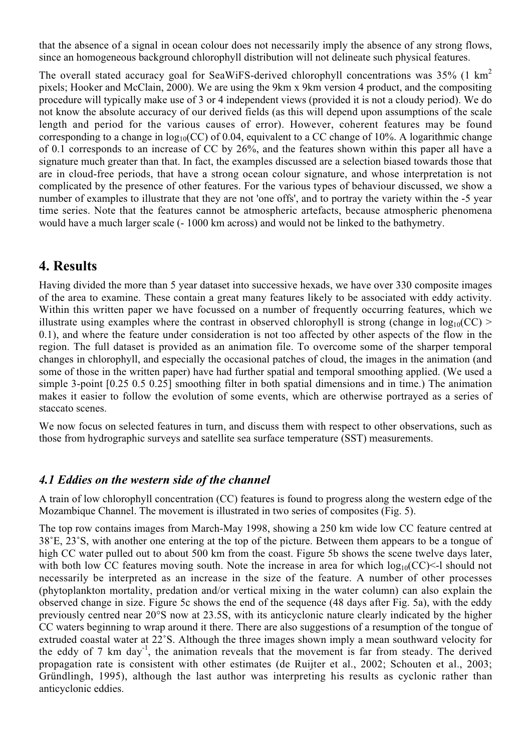that the absence of a signal in ocean colour does not necessarily imply the absence of any strong flows, since an homogeneous background chlorophyll distribution will not delineate such physical features.

The overall stated accuracy goal for SeaWiFS-derived chlorophyll concentrations was 35% (1 km<sup>2</sup> pixels; Hooker and McClain, 2000). We are using the 9km x 9km version 4 product, and the compositing procedure will typically make use of 3 or 4 independent views (provided it is not a cloudy period). We do not know the absolute accuracy of our derived fields (as this will depend upon assumptions of the scale length and period for the various causes of error). However, coherent features may be found corresponding to a change in  $log_{10}(CC)$  of 0.04, equivalent to a CC change of 10%. A logarithmic change of 0.1 corresponds to an increase of CC by 26%, and the features shown within this paper all have a signature much greater than that. In fact, the examples discussed are a selection biased towards those that are in cloud-free periods, that have a strong ocean colour signature, and whose interpretation is not complicated by the presence of other features. For the various types of behaviour discussed, we show a number of examples to illustrate that they are not 'one offs', and to portray the variety within the -5 year time series. Note that the features cannot be atmospheric artefacts, because atmospheric phenomena would have a much larger scale (- 1000 km across) and would not be linked to the bathymetry.

## **4. Results**

Having divided the more than 5 year dataset into successive hexads, we have over 330 composite images of the area to examine. These contain a great many features likely to be associated with eddy activity. Within this written paper we have focussed on a number of frequently occurring features, which we illustrate using examples where the contrast in observed chlorophyll is strong (change in  $log_{10}(CC)$ ) 0.1), and where the feature under consideration is not too affected by other aspects of the flow in the region. The full dataset is provided as an animation file. To overcome some of the sharper temporal changes in chlorophyll, and especially the occasional patches of cloud, the images in the animation (and some of those in the written paper) have had further spatial and temporal smoothing applied. (We used a simple 3-point [0.25 0.5 0.25] smoothing filter in both spatial dimensions and in time.) The animation makes it easier to follow the evolution of some events, which are otherwise portrayed as a series of staccato scenes.

We now focus on selected features in turn, and discuss them with respect to other observations, such as those from hydrographic surveys and satellite sea surface temperature (SST) measurements.

#### *4.1 Eddies on the western side of the channel*

A train of low chlorophyll concentration (CC) features is found to progress along the western edge of the Mozambique Channel. The movement is illustrated in two series of composites (Fig. 5).

The top row contains images from March-May 1998, showing a 250 km wide low CC feature centred at 38˚E, 23˚S, with another one entering at the top of the picture. Between them appears to be a tongue of high CC water pulled out to about 500 km from the coast. Figure 5b shows the scene twelve days later, with both low CC features moving south. Note the increase in area for which  $log_{10}(CC)$  <-1 should not necessarily be interpreted as an increase in the size of the feature. A number of other processes (phytoplankton mortality, predation and/or vertical mixing in the water column) can also explain the observed change in size. Figure 5c shows the end of the sequence (48 days after Fig. 5a), with the eddy previously centred near 20°S now at 23.5S, with its anticyclonic nature clearly indicated by the higher CC waters beginning to wrap around it there. There are also suggestions of a resumption of the tongue of extruded coastal water at 22˚S. Although the three images shown imply a mean southward velocity for the eddy of 7 km day<sup>-1</sup>, the animation reveals that the movement is far from steady. The derived propagation rate is consistent with other estimates (de Ruijter et al., 2002; Schouten et al., 2003; Gründlingh, 1995), although the last author was interpreting his results as cyclonic rather than anticyclonic eddies.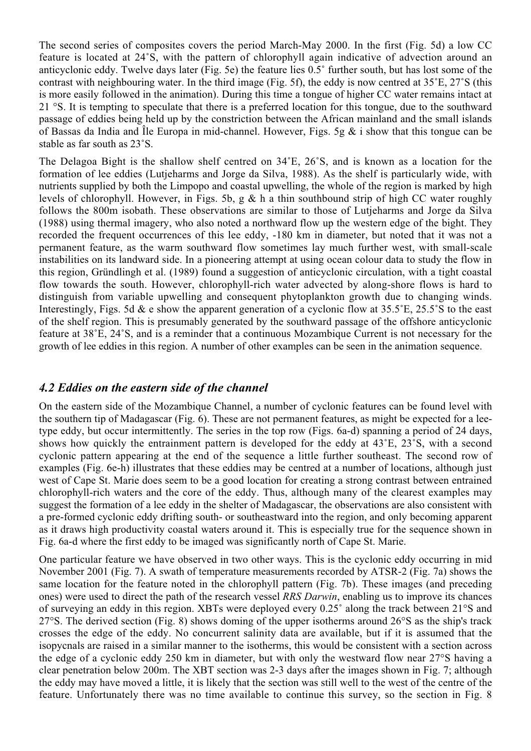The second series of composites covers the period March-May 2000. In the first (Fig. 5d) a low CC feature is located at 24˚S, with the pattern of chlorophyll again indicative of advection around an anticyclonic eddy. Twelve days later (Fig. 5e) the feature lies 0.5˚ further south, but has lost some of the contrast with neighbouring water. In the third image (Fig. 5f), the eddy is now centred at 35˚E, 27˚S (this is more easily followed in the animation). During this time a tongue of higher CC water remains intact at 21 °S. It is tempting to speculate that there is a preferred location for this tongue, due to the southward passage of eddies being held up by the constriction between the African mainland and the small islands of Bassas da India and Île Europa in mid-channel. However, Figs. 5g  $\&$  i show that this tongue can be stable as far south as 23˚S.

The Delagoa Bight is the shallow shelf centred on 34˚E, 26˚S, and is known as a location for the formation of lee eddies (Lutjeharms and Jorge da Silva, 1988). As the shelf is particularly wide, with nutrients supplied by both the Limpopo and coastal upwelling, the whole of the region is marked by high levels of chlorophyll. However, in Figs. 5b, g & h a thin southbound strip of high CC water roughly follows the 800m isobath. These observations are similar to those of Lutjeharms and Jorge da Silva (1988) using thermal imagery, who also noted a northward flow up the western edge of the bight. They recorded the frequent occurrences of this lee eddy, -180 km in diameter, but noted that it was not a permanent feature, as the warm southward flow sometimes lay much further west, with small-scale instabilities on its landward side. In a pioneering attempt at using ocean colour data to study the flow in this region, Gründlingh et al. (1989) found a suggestion of anticyclonic circulation, with a tight coastal flow towards the south. However, chlorophyll-rich water advected by along-shore flows is hard to distinguish from variable upwelling and consequent phytoplankton growth due to changing winds. Interestingly, Figs. 5d & e show the apparent generation of a cyclonic flow at 35.5°E, 25.5°S to the east of the shelf region. This is presumably generated by the southward passage of the offshore anticyclonic feature at 38˚E, 24˚S, and is a reminder that a continuous Mozambique Current is not necessary for the growth of lee eddies in this region. A number of other examples can be seen in the animation sequence.

#### *4.2 Eddies on the eastern side of the channel*

On the eastern side of the Mozambique Channel, a number of cyclonic features can be found level with the southern tip of Madagascar (Fig. 6). These are not permanent features, as might be expected for a leetype eddy, but occur intermittently. The series in the top row (Figs. 6a-d) spanning a period of 24 days, shows how quickly the entrainment pattern is developed for the eddy at 43˚E, 23˚S, with a second cyclonic pattern appearing at the end of the sequence a little further southeast. The second row of examples (Fig. 6e-h) illustrates that these eddies may be centred at a number of locations, although just west of Cape St. Marie does seem to be a good location for creating a strong contrast between entrained chlorophyll-rich waters and the core of the eddy. Thus, although many of the clearest examples may suggest the formation of a lee eddy in the shelter of Madagascar, the observations are also consistent with a pre-formed cyclonic eddy drifting south- or southeastward into the region, and only becoming apparent as it draws high productivity coastal waters around it. This is especially true for the sequence shown in Fig. 6a-d where the first eddy to be imaged was significantly north of Cape St. Marie.

One particular feature we have observed in two other ways. This is the cyclonic eddy occurring in mid November 2001 (Fig. 7). A swath of temperature measurements recorded by ATSR-2 (Fig. 7a) shows the same location for the feature noted in the chlorophyll pattern (Fig. 7b). These images (and preceding ones) were used to direct the path of the research vessel *RRS Darwin*, enabling us to improve its chances of surveying an eddy in this region. XBTs were deployed every 0.25˚ along the track between 21°S and 27°S. The derived section (Fig. 8) shows doming of the upper isotherms around 26°S as the ship's track crosses the edge of the eddy. No concurrent salinity data are available, but if it is assumed that the isopycnals are raised in a similar manner to the isotherms, this would be consistent with a section across the edge of a cyclonic eddy 250 km in diameter, but with only the westward flow near 27°S having a clear penetration below 200m. The XBT section was 2-3 days after the images shown in Fig. 7; although the eddy may have moved a little, it is likely that the section was still well to the west of the centre of the feature. Unfortunately there was no time available to continue this survey, so the section in Fig. 8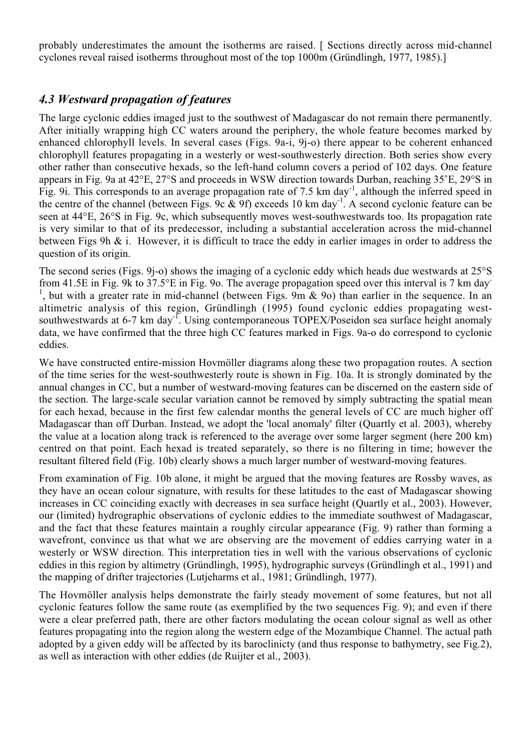probably underestimates the amount the isotherms are raised. [ Sections directly across mid-channel cyclones reveal raised isotherms throughout most of the top 1000m (Gründlingh, 1977, 1985).]

#### *4.3 Westward propagation of features*

The large cyclonic eddies imaged just to the southwest of Madagascar do not remain there permanently. After initially wrapping high CC waters around the periphery, the whole feature becomes marked by enhanced chlorophyll levels. In several cases (Figs. 9a-i, 9j-o) there appear to be coherent enhanced chlorophyll features propagating in a westerly or west-southwesterly direction. Both series show every other rather than consecutive hexads, so the left-hand column covers a period of 102 days. One feature appears in Fig. 9a at 42°E, 27°S and proceeds in WSW direction towards Durban, reaching 35˚E, 29°S in Fig. 9i. This corresponds to an average propagation rate of 7.5 km day<sup>-1</sup>, although the inferred speed in the centre of the channel (between Figs. 9c & 9f) exceeds 10 km day<sup>-1</sup>. A second cyclonic feature can be seen at 44°E, 26°S in Fig. 9c, which subsequently moves west-southwestwards too. Its propagation rate is very similar to that of its predecessor, including a substantial acceleration across the mid-channel between Figs 9h & i. However, it is difficult to trace the eddy in earlier images in order to address the question of its origin.

The second series (Figs. 9j-o) shows the imaging of a cyclonic eddy which heads due westwards at 25°S from 41.5E in Fig. 9k to 37.5°E in Fig. 9o. The average propagation speed over this interval is 7 km day-<sup>1</sup>, but with a greater rate in mid-channel (between Figs.  $9m \& 90$ ) than earlier in the sequence. In an altimetric analysis of this region, Gründlingh (1995) found cyclonic eddies propagating westsouthwestwards at 6-7 km day<sup>-1</sup>. Using contemporaneous TOPEX/Poseidon sea surface height anomaly data, we have confirmed that the three high CC features marked in Figs. 9a-o do correspond to cyclonic eddies.

We have constructed entire-mission Hovmöller diagrams along these two propagation routes. A section of the time series for the west-southwesterly route is shown in Fig. 10a. It is strongly dominated by the annual changes in CC, but a number of westward-moving features can be discerned on the eastern side of the section. The large-scale secular variation cannot be removed by simply subtracting the spatial mean for each hexad, because in the first few calendar months the general levels of CC are much higher off Madagascar than off Durban. Instead, we adopt the 'local anomaly' filter (Quartly et al. 2003), whereby the value at a location along track is referenced to the average over some larger segment (here 200 km) centred on that point. Each hexad is treated separately, so there is no filtering in time; however the resultant filtered field (Fig. 10b) clearly shows a much larger number of westward-moving features.

From examination of Fig. 10b alone, it might be argued that the moving features are Rossby waves, as they have an ocean colour signature, with results for these latitudes to the east of Madagascar showing increases in CC coinciding exactly with decreases in sea surface height (Quartly et al., 2003). However, our (limited) hydrographic observations of cyclonic eddies to the immediate southwest of Madagascar, and the fact that these features maintain a roughly circular appearance (Fig. 9) rather than forming a wavefront, convince us that what we are observing are the movement of eddies carrying water in a westerly or WSW direction. This interpretation ties in well with the various observations of cyclonic eddies in this region by altimetry (Gründlingh, 1995), hydrographic surveys (Gründlingh et al., 1991) and the mapping of drifter trajectories (Lutjeharms et al., 1981; Gründlingh, 1977).

The Hovmöller analysis helps demonstrate the fairly steady movement of some features, but not all cyclonic features follow the same route (as exemplified by the two sequences Fig. 9); and even if there were a clear preferred path, there are other factors modulating the ocean colour signal as well as other features propagating into the region along the western edge of the Mozambique Channel. The actual path adopted by a given eddy will be affected by its baroclinicty (and thus response to bathymetry, see Fig.2), as well as interaction with other eddies (de Ruijter et al., 2003).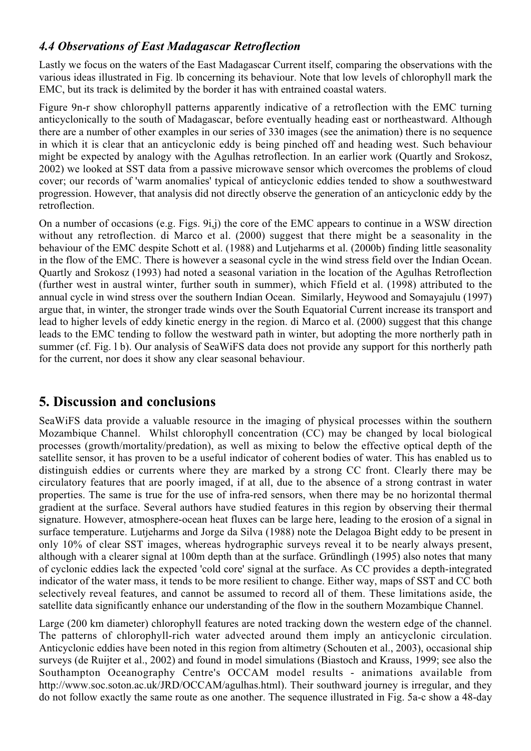### *4.4 Observations of East Madagascar Retroflection*

Lastly we focus on the waters of the East Madagascar Current itself, comparing the observations with the various ideas illustrated in Fig. lb concerning its behaviour. Note that low levels of chlorophyll mark the EMC, but its track is delimited by the border it has with entrained coastal waters.

Figure 9n-r show chlorophyll patterns apparently indicative of a retroflection with the EMC turning anticyclonically to the south of Madagascar, before eventually heading east or northeastward. Although there are a number of other examples in our series of 330 images (see the animation) there is no sequence in which it is clear that an anticyclonic eddy is being pinched off and heading west. Such behaviour might be expected by analogy with the Agulhas retroflection. In an earlier work (Quartly and Srokosz, 2002) we looked at SST data from a passive microwave sensor which overcomes the problems of cloud cover; our records of 'warm anomalies' typical of anticyclonic eddies tended to show a southwestward progression. However, that analysis did not directly observe the generation of an anticyclonic eddy by the retroflection.

On a number of occasions (e.g. Figs. 9i,j) the core of the EMC appears to continue in a WSW direction without any retroflection. di Marco et al. (2000) suggest that there might be a seasonality in the behaviour of the EMC despite Schott et al. (1988) and Lutjeharms et al. (2000b) finding little seasonality in the flow of the EMC. There is however a seasonal cycle in the wind stress field over the Indian Ocean. Quartly and Srokosz (1993) had noted a seasonal variation in the location of the Agulhas Retroflection (further west in austral winter, further south in summer), which Ffield et al. (1998) attributed to the annual cycle in wind stress over the southern Indian Ocean. Similarly, Heywood and Somayajulu (1997) argue that, in winter, the stronger trade winds over the South Equatorial Current increase its transport and lead to higher levels of eddy kinetic energy in the region. di Marco et al. (2000) suggest that this change leads to the EMC tending to follow the westward path in winter, but adopting the more northerly path in summer (cf. Fig. 1 b). Our analysis of SeaWiFS data does not provide any support for this northerly path for the current, nor does it show any clear seasonal behaviour.

# **5. Discussion and conclusions**

SeaWiFS data provide a valuable resource in the imaging of physical processes within the southern Mozambique Channel. Whilst chlorophyll concentration (CC) may be changed by local biological processes (growth/mortality/predation), as well as mixing to below the effective optical depth of the satellite sensor, it has proven to be a useful indicator of coherent bodies of water. This has enabled us to distinguish eddies or currents where they are marked by a strong CC front. Clearly there may be circulatory features that are poorly imaged, if at all, due to the absence of a strong contrast in water properties. The same is true for the use of infra-red sensors, when there may be no horizontal thermal gradient at the surface. Several authors have studied features in this region by observing their thermal signature. However, atmosphere-ocean heat fluxes can be large here, leading to the erosion of a signal in surface temperature. Lutjeharms and Jorge da Silva (1988) note the Delagoa Bight eddy to be present in only 10% of clear SST images, whereas hydrographic surveys reveal it to be nearly always present, although with a clearer signal at 100m depth than at the surface. Gründlingh (1995) also notes that many of cyclonic eddies lack the expected 'cold core' signal at the surface. As CC provides a depth-integrated indicator of the water mass, it tends to be more resilient to change. Either way, maps of SST and CC both selectively reveal features, and cannot be assumed to record all of them. These limitations aside, the satellite data significantly enhance our understanding of the flow in the southern Mozambique Channel.

Large (200 km diameter) chlorophyll features are noted tracking down the western edge of the channel. The patterns of chlorophyll-rich water advected around them imply an anticyclonic circulation. Anticyclonic eddies have been noted in this region from altimetry (Schouten et al., 2003), occasional ship surveys (de Ruijter et al., 2002) and found in model simulations (Biastoch and Krauss, 1999; see also the Southampton Oceanography Centre's OCCAM model results - animations available from http://www.soc.soton.ac.uk/JRD/OCCAM/agulhas.html). Their southward journey is irregular, and they do not follow exactly the same route as one another. The sequence illustrated in Fig. 5a-c show a 48-day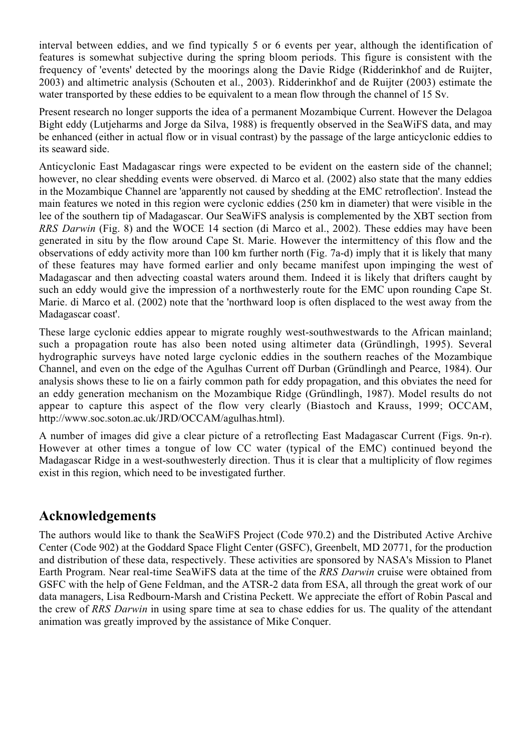interval between eddies, and we find typically 5 or 6 events per year, although the identification of features is somewhat subjective during the spring bloom periods. This figure is consistent with the frequency of 'events' detected by the moorings along the Davie Ridge (Ridderinkhof and de Ruijter, 2003) and altimetric analysis (Schouten et al., 2003). Ridderinkhof and de Ruijter (2003) estimate the water transported by these eddies to be equivalent to a mean flow through the channel of 15 Sv.

Present research no longer supports the idea of a permanent Mozambique Current. However the Delagoa Bight eddy (Lutjeharms and Jorge da Silva, 1988) is frequently observed in the SeaWiFS data, and may be enhanced (either in actual flow or in visual contrast) by the passage of the large anticyclonic eddies to its seaward side.

Anticyclonic East Madagascar rings were expected to be evident on the eastern side of the channel; however, no clear shedding events were observed. di Marco et al. (2002) also state that the many eddies in the Mozambique Channel are 'apparently not caused by shedding at the EMC retroflection'. Instead the main features we noted in this region were cyclonic eddies (250 km in diameter) that were visible in the lee of the southern tip of Madagascar. Our SeaWiFS analysis is complemented by the XBT section from *RRS Darwin* (Fig. 8) and the WOCE 14 section (di Marco et al., 2002). These eddies may have been generated in situ by the flow around Cape St. Marie. However the intermittency of this flow and the observations of eddy activity more than 100 km further north (Fig. 7a-d) imply that it is likely that many of these features may have formed earlier and only became manifest upon impinging the west of Madagascar and then advecting coastal waters around them. Indeed it is likely that drifters caught by such an eddy would give the impression of a northwesterly route for the EMC upon rounding Cape St. Marie. di Marco et al. (2002) note that the 'northward loop is often displaced to the west away from the Madagascar coast'.

These large cyclonic eddies appear to migrate roughly west-southwestwards to the African mainland; such a propagation route has also been noted using altimeter data (Gründlingh, 1995). Several hydrographic surveys have noted large cyclonic eddies in the southern reaches of the Mozambique Channel, and even on the edge of the Agulhas Current off Durban (Gründlingh and Pearce, 1984). Our analysis shows these to lie on a fairly common path for eddy propagation, and this obviates the need for an eddy generation mechanism on the Mozambique Ridge (Gründlingh, 1987). Model results do not appear to capture this aspect of the flow very clearly (Biastoch and Krauss, 1999; OCCAM, http://www.soc.soton.ac.uk/JRD/OCCAM/agulhas.html).

A number of images did give a clear picture of a retroflecting East Madagascar Current (Figs. 9n-r). However at other times a tongue of low CC water (typical of the EMC) continued beyond the Madagascar Ridge in a west-southwesterly direction. Thus it is clear that a multiplicity of flow regimes exist in this region, which need to be investigated further.

### **Acknowledgements**

The authors would like to thank the SeaWiFS Project (Code 970.2) and the Distributed Active Archive Center (Code 902) at the Goddard Space Flight Center (GSFC), Greenbelt, MD 20771, for the production and distribution of these data, respectively. These activities are sponsored by NASA's Mission to Planet Earth Program. Near real-time SeaWiFS data at the time of the *RRS Darwin* cruise were obtained from GSFC with the help of Gene Feldman, and the ATSR-2 data from ESA, all through the great work of our data managers, Lisa Redbourn-Marsh and Cristina Peckett. We appreciate the effort of Robin Pascal and the crew of *RRS Darwin* in using spare time at sea to chase eddies for us. The quality of the attendant animation was greatly improved by the assistance of Mike Conquer.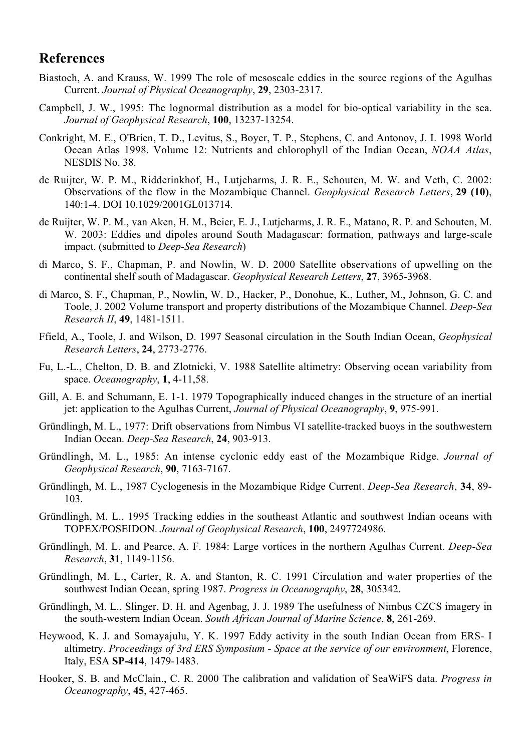#### **References**

- Biastoch, A. and Krauss, W. 1999 The role of mesoscale eddies in the source regions of the Agulhas Current. *Journal of Physical Oceanography*, **29**, 2303-2317.
- Campbell, J. W., 1995: The lognormal distribution as a model for bio-optical variability in the sea. *Journal of Geophysical Research*, **100**, 13237-13254.
- Conkright, M. E., O'Brien, T. D., Levitus, S., Boyer, T. P., Stephens, C. and Antonov, J. I. 1998 World Ocean Atlas 1998. Volume 12: Nutrients and chlorophyll of the Indian Ocean, *NOAA Atlas*, NESDIS No. 38.
- de Ruijter, W. P. M., Ridderinkhof, H., Lutjeharms, J. R. E., Schouten, M. W. and Veth, C. 2002: Observations of the flow in the Mozambique Channel. *Geophysical Research Letters*, **29 (10)**, 140:1-4. DOI 10.1029/2001GL013714.
- de Ruijter, W. P. M., van Aken, H. M., Beier, E. J., Lutjeharms, J. R. E., Matano, R. P. and Schouten, M. W. 2003: Eddies and dipoles around South Madagascar: formation, pathways and large-scale impact. (submitted to *Deep-Sea Research*)
- di Marco, S. F., Chapman, P. and Nowlin, W. D. 2000 Satellite observations of upwelling on the continental shelf south of Madagascar. *Geophysical Research Letters*, **27**, 3965-3968.
- di Marco, S. F., Chapman, P., Nowlin, W. D., Hacker, P., Donohue, K., Luther, M., Johnson, G. C. and Toole, J. 2002 Volume transport and property distributions of the Mozambique Channel. *Deep-Sea Research II*, **49**, 1481-1511.
- Ffield, A., Toole, J. and Wilson, D. 1997 Seasonal circulation in the South Indian Ocean, *Geophysical Research Letters*, **24**, 2773-2776.
- Fu, L.-L., Chelton, D. B. and Zlotnicki, V. 1988 Satellite altimetry: Observing ocean variability from space. *Oceanography*, **1**, 4-11,58.
- Gill, A. E. and Schumann, E. 1-1. 1979 Topographically induced changes in the structure of an inertial jet: application to the Agulhas Current, *Journal of Physical Oceanography*, **9**, 975-991.
- Gründlingh, M. L., 1977: Drift observations from Nimbus VI satellite-tracked buoys in the southwestern Indian Ocean. *Deep-Sea Research*, **24**, 903-913.
- Gründlingh, M. L., 1985: An intense cyclonic eddy east of the Mozambique Ridge. *Journal of Geophysical Research*, **90**, 7163-7167.
- Gründlingh, M. L., 1987 Cyclogenesis in the Mozambique Ridge Current. *Deep-Sea Research*, **34**, 89- 103.
- Gründlingh, M. L., 1995 Tracking eddies in the southeast Atlantic and southwest Indian oceans with TOPEX/POSEIDON. *Journal of Geophysical Research*, **100**, 2497724986.
- Gründlingh, M. L. and Pearce, A. F. 1984: Large vortices in the northern Agulhas Current. *Deep-Sea Research*, **31**, 1149-1156.
- Gründlingh, M. L., Carter, R. A. and Stanton, R. C. 1991 Circulation and water properties of the southwest Indian Ocean, spring 1987. *Progress in Oceanography*, **28**, 305342.
- Gründlingh, M. L., Slinger, D. H. and Agenbag, J. J. 1989 The usefulness of Nimbus CZCS imagery in the south-western Indian Ocean. *South African Journal of Marine Science*, **8**, 261-269.
- Heywood, K. J. and Somayajulu, Y. K. 1997 Eddy activity in the south Indian Ocean from ERS- I altimetry. *Proceedings of 3rd ERS Symposium - Space at the service of our environment*, Florence, Italy, ESA **SP-414**, 1479-1483.
- Hooker, S. B. and McClain., C. R. 2000 The calibration and validation of SeaWiFS data. *Progress in Oceanography*, **45**, 427-465.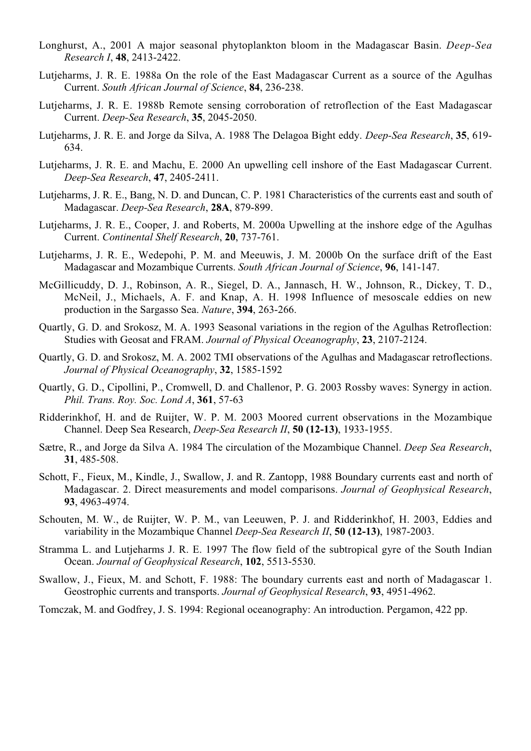- Longhurst, A., 2001 A major seasonal phytoplankton bloom in the Madagascar Basin. *Deep-Sea Research I*, **48**, 2413-2422.
- Lutjeharms, J. R. E. 1988a On the role of the East Madagascar Current as a source of the Agulhas Current. *South African Journal of Science*, **84**, 236-238.
- Lutjeharms, J. R. E. 1988b Remote sensing corroboration of retroflection of the East Madagascar Current. *Deep-Sea Research*, **35**, 2045-2050.
- Lutjeharms, J. R. E. and Jorge da Silva, A. 1988 The Delagoa Bight eddy. *Deep-Sea Research*, **35**, 619- 634.
- Lutjeharms, J. R. E. and Machu, E. 2000 An upwelling cell inshore of the East Madagascar Current. *Deep-Sea Research*, **47**, 2405-2411.
- Lutjeharms, J. R. E., Bang, N. D. and Duncan, C. P. 1981 Characteristics of the currents east and south of Madagascar. *Deep-Sea Research*, **28A**, 879-899.
- Lutjeharms, J. R. E., Cooper, J. and Roberts, M. 2000a Upwelling at the inshore edge of the Agulhas Current. *Continental Shelf Research*, **20**, 737-761.
- Lutjeharms, J. R. E., Wedepohi, P. M. and Meeuwis, J. M. 2000b On the surface drift of the East Madagascar and Mozambique Currents. *South African Journal of Science*, **96**, 141-147.
- McGillicuddy, D. J., Robinson, A. R., Siegel, D. A., Jannasch, H. W., Johnson, R., Dickey, T. D., McNeil, J., Michaels, A. F. and Knap, A. H. 1998 Influence of mesoscale eddies on new production in the Sargasso Sea. *Nature*, **394**, 263-266.
- Quartly, G. D. and Srokosz, M. A. 1993 Seasonal variations in the region of the Agulhas Retroflection: Studies with Geosat and FRAM. *Journal of Physical Oceanography*, **23**, 2107-2124.
- Quartly, G. D. and Srokosz, M. A. 2002 TMI observations of the Agulhas and Madagascar retroflections. *Journal of Physical Oceanography*, **32**, 1585-1592
- Quartly, G. D., Cipollini, P., Cromwell, D. and Challenor, P. G. 2003 Rossby waves: Synergy in action. *Phil. Trans. Roy. Soc. Lond A*, **361**, 57-63
- Ridderinkhof, H. and de Ruijter, W. P. M. 2003 Moored current observations in the Mozambique Channel. Deep Sea Research, *Deep-Sea Research II*, **50 (12-13)**, 1933-1955.
- Sætre, R., and Jorge da Silva A. 1984 The circulation of the Mozambique Channel. *Deep Sea Research*, **31**, 485-508.
- Schott, F., Fieux, M., Kindle, J., Swallow, J. and R. Zantopp, 1988 Boundary currents east and north of Madagascar. 2. Direct measurements and model comparisons. *Journal of Geophysical Research*, **93**, 4963-4974.
- Schouten, M. W., de Ruijter, W. P. M., van Leeuwen, P. J. and Ridderinkhof, H. 2003, Eddies and variability in the Mozambique Channel *Deep-Sea Research II*, **50 (12-13)**, 1987-2003.
- Stramma L. and Lutjeharms J. R. E. 1997 The flow field of the subtropical gyre of the South Indian Ocean. *Journal of Geophysical Research*, **102**, 5513-5530.
- Swallow, J., Fieux, M. and Schott, F. 1988: The boundary currents east and north of Madagascar 1. Geostrophic currents and transports. *Journal of Geophysical Research*, **93**, 4951-4962.
- Tomczak, M. and Godfrey, J. S. 1994: Regional oceanography: An introduction. Pergamon, 422 pp.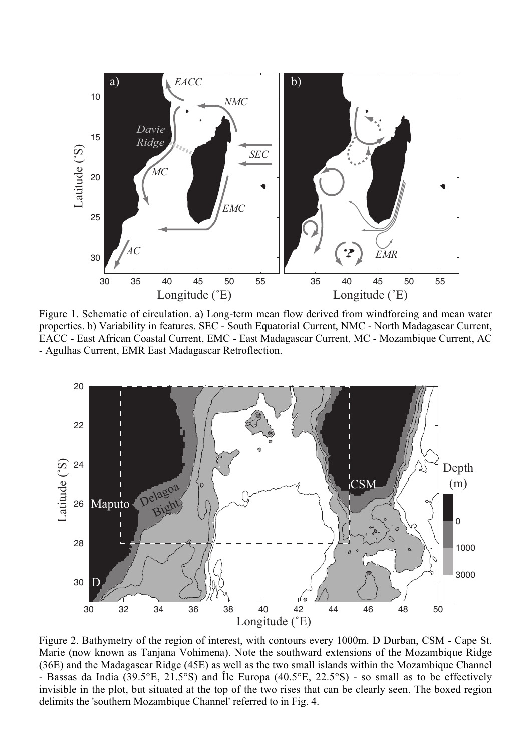

Figure 1. Schematic of circulation. a) Long-term mean flow derived from windforcing and mean water properties. b) Variability in features. SEC - South Equatorial Current, NMC - North Madagascar Current, EACC - East African Coastal Current, EMC - East Madagascar Current, MC - Mozambique Current, AC - Agulhas Current, EMR East Madagascar Retroflection.



Figure 2. Bathymetry of the region of interest, with contours every 1000m. D Durban, CSM - Cape St. Marie (now known as Tanjana Vohimena). Note the southward extensions of the Mozambique Ridge (36E) and the Madagascar Ridge (45E) as well as the two small islands within the Mozambique Channel - Bassas da India (39.5°E, 21.5°S) and Île Europa (40.5°E, 22.5°S) - so small as to be effectively invisible in the plot, but situated at the top of the two rises that can be clearly seen. The boxed region delimits the 'southern Mozambique Channel' referred to in Fig. 4.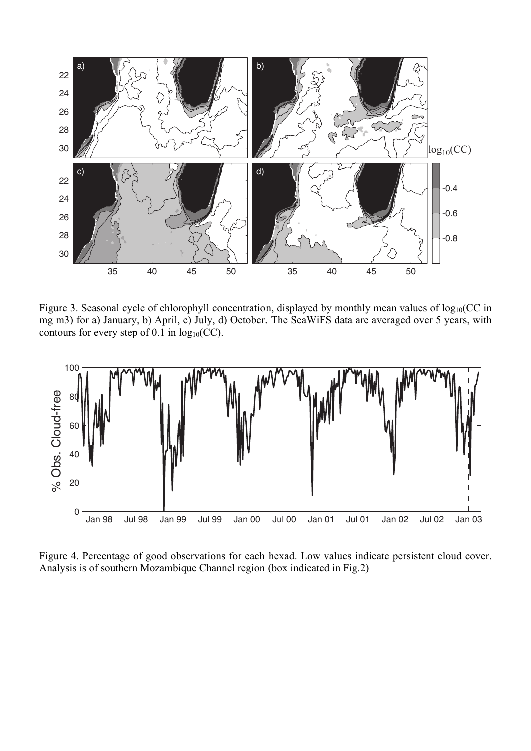

Figure 3. Seasonal cycle of chlorophyll concentration, displayed by monthly mean values of  $log_{10}(CC)$  in mg m3) for a) January, b) April, c) July, d) October. The SeaWiFS data are averaged over 5 years, with contours for every step of 0.1 in  $log_{10}(CC)$ .



Figure 4. Percentage of good observations for each hexad. Low values indicate persistent cloud cover. Analysis is of southern Mozambique Channel region (box indicated in Fig.2)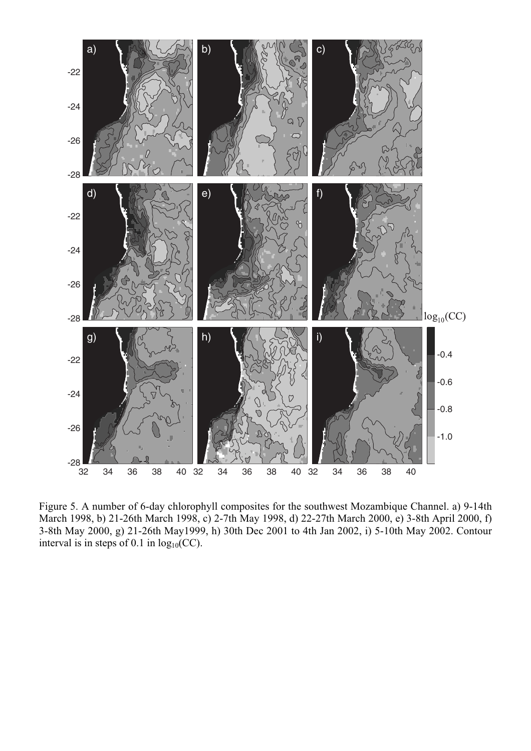

Figure 5. A number of 6-day chlorophyll composites for the southwest Mozambique Channel. a) 9-14th March 1998, b) 21-26th March 1998, c) 2-7th May 1998, d) 22-27th March 2000, e) 3-8th April 2000, f) 3-8th May 2000, g) 21-26th May1999, h) 30th Dec 2001 to 4th Jan 2002, i) 5-10th May 2002. Contour interval is in steps of 0.1 in  $log_{10}(CC)$ .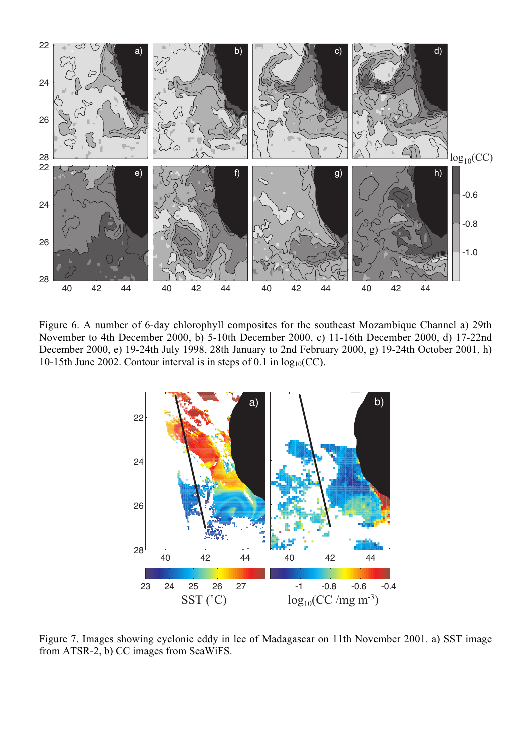

Figure 6. A number of 6-day chlorophyll composites for the southeast Mozambique Channel a) 29th November to 4th December 2000, b) 5-10th December 2000, c) 11-16th December 2000, d) 17-22nd December 2000, e) 19-24th July 1998, 28th January to 2nd February 2000, g) 19-24th October 2001, h) 10-15th June 2002. Contour interval is in steps of 0.1 in  $log_{10}(CC)$ .



Figure 7. Images showing cyclonic eddy in lee of Madagascar on 11th November 2001. a) SST image from ATSR-2, b) CC images from SeaWiFS.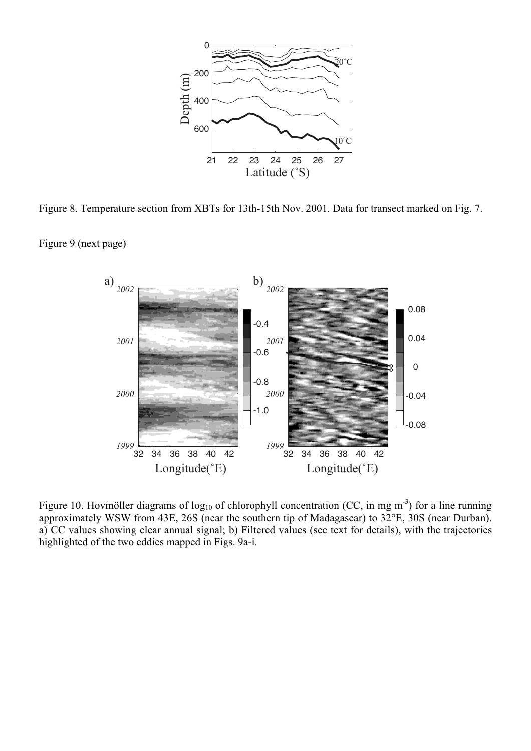

Figure 8. Temperature section from XBTs for 13th-15th Nov. 2001. Data for transect marked on Fig. 7.

Figure 9 (next page)



Figure 10. Hovmöller diagrams of  $log_{10}$  of chlorophyll concentration (CC, in mg m<sup>-3</sup>) for a line running approximately WSW from 43E, 26S (near the southern tip of Madagascar) to 32°E, 30S (near Durban). a) CC values showing clear annual signal; b) Filtered values (see text for details), with the trajectories highlighted of the two eddies mapped in Figs. 9a-i.